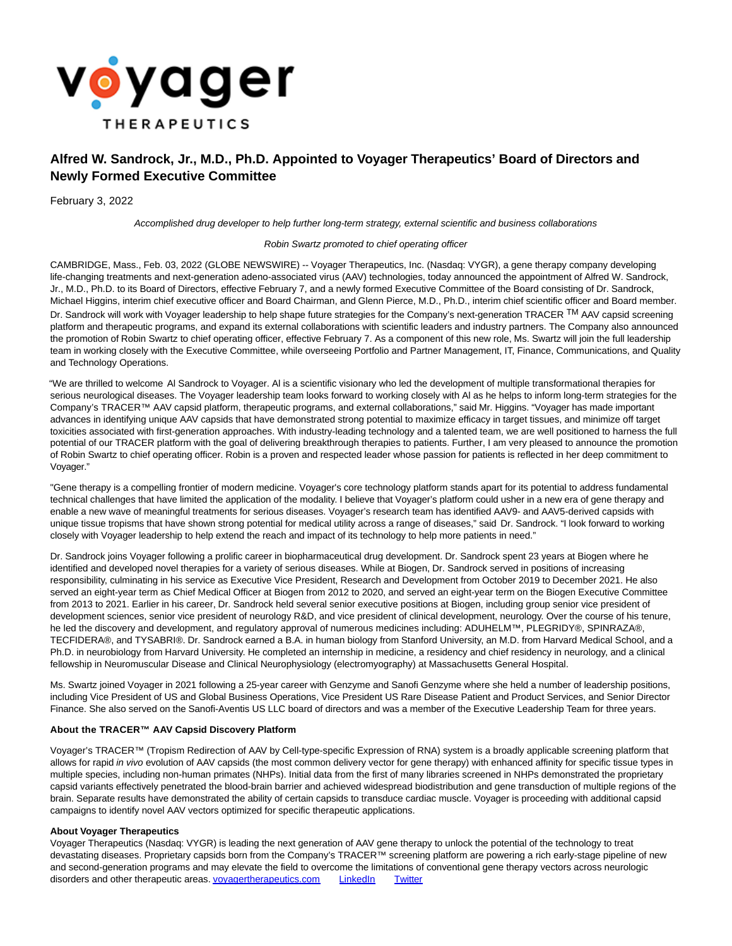

# **Alfred W. Sandrock, Jr., M.D., Ph.D. Appointed to Voyager Therapeutics' Board of Directors and Newly Formed Executive Committee**

February 3, 2022

Accomplished drug developer to help further long-term strategy, external scientific and business collaborations

## Robin Swartz promoted to chief operating officer

CAMBRIDGE, Mass., Feb. 03, 2022 (GLOBE NEWSWIRE) -- Voyager Therapeutics, Inc. (Nasdaq: VYGR), a gene therapy company developing life-changing treatments and next-generation adeno-associated virus (AAV) technologies, today announced the appointment of Alfred W. Sandrock, Jr., M.D., Ph.D. to its Board of Directors, effective February 7, and a newly formed Executive Committee of the Board consisting of Dr. Sandrock, Michael Higgins, interim chief executive officer and Board Chairman, and Glenn Pierce, M.D., Ph.D., interim chief scientific officer and Board member. Dr. Sandrock will work with Voyager leadership to help shape future strategies for the Company's next-generation TRACER TM AAV capsid screening platform and therapeutic programs, and expand its external collaborations with scientific leaders and industry partners. The Company also announced the promotion of Robin Swartz to chief operating officer, effective February 7. As a component of this new role, Ms. Swartz will join the full leadership team in working closely with the Executive Committee, while overseeing Portfolio and Partner Management, IT, Finance, Communications, and Quality and Technology Operations.

"We are thrilled to welcome Al Sandrock to Voyager. Al is a scientific visionary who led the development of multiple transformational therapies for serious neurological diseases. The Voyager leadership team looks forward to working closely with Al as he helps to inform long-term strategies for the Company's TRACER™ AAV capsid platform, therapeutic programs, and external collaborations," said Mr. Higgins. "Voyager has made important advances in identifying unique AAV capsids that have demonstrated strong potential to maximize efficacy in target tissues, and minimize off target toxicities associated with first-generation approaches. With industry-leading technology and a talented team, we are well positioned to harness the full potential of our TRACER platform with the goal of delivering breakthrough therapies to patients. Further, I am very pleased to announce the promotion of Robin Swartz to chief operating officer. Robin is a proven and respected leader whose passion for patients is reflected in her deep commitment to Voyager."

"Gene therapy is a compelling frontier of modern medicine. Voyager's core technology platform stands apart for its potential to address fundamental technical challenges that have limited the application of the modality. I believe that Voyager's platform could usher in a new era of gene therapy and enable a new wave of meaningful treatments for serious diseases. Voyager's research team has identified AAV9- and AAV5-derived capsids with unique tissue tropisms that have shown strong potential for medical utility across a range of diseases," said Dr. Sandrock. "I look forward to working closely with Voyager leadership to help extend the reach and impact of its technology to help more patients in need."

Dr. Sandrock joins Voyager following a prolific career in biopharmaceutical drug development. Dr. Sandrock spent 23 years at Biogen where he identified and developed novel therapies for a variety of serious diseases. While at Biogen, Dr. Sandrock served in positions of increasing responsibility, culminating in his service as Executive Vice President, Research and Development from October 2019 to December 2021. He also served an eight-year term as Chief Medical Officer at Biogen from 2012 to 2020, and served an eight-year term on the Biogen Executive Committee from 2013 to 2021. Earlier in his career, Dr. Sandrock held several senior executive positions at Biogen, including group senior vice president of development sciences, senior vice president of neurology R&D, and vice president of clinical development, neurology. Over the course of his tenure, he led the discovery and development, and regulatory approval of numerous medicines including: ADUHELM™, PLEGRIDY®, SPINRAZA®, TECFIDERA®, and TYSABRI®. Dr. Sandrock earned a B.A. in human biology from Stanford University, an M.D. from Harvard Medical School, and a Ph.D. in neurobiology from Harvard University. He completed an internship in medicine, a residency and chief residency in neurology, and a clinical fellowship in Neuromuscular Disease and Clinical Neurophysiology (electromyography) at Massachusetts General Hospital.

Ms. Swartz joined Voyager in 2021 following a 25-year career with Genzyme and Sanofi Genzyme where she held a number of leadership positions, including Vice President of US and Global Business Operations, Vice President US Rare Disease Patient and Product Services, and Senior Director Finance. She also served on the Sanofi-Aventis US LLC board of directors and was a member of the Executive Leadership Team for three years.

# **About the TRACER™ AAV Capsid Discovery Platform**

Voyager's TRACER™ (Tropism Redirection of AAV by Cell-type-specific Expression of RNA) system is a broadly applicable screening platform that allows for rapid in vivo evolution of AAV capsids (the most common delivery vector for gene therapy) with enhanced affinity for specific tissue types in multiple species, including non-human primates (NHPs). Initial data from the first of many libraries screened in NHPs demonstrated the proprietary capsid variants effectively penetrated the blood-brain barrier and achieved widespread biodistribution and gene transduction of multiple regions of the brain. Separate results have demonstrated the ability of certain capsids to transduce cardiac muscle. Voyager is proceeding with additional capsid campaigns to identify novel AAV vectors optimized for specific therapeutic applications.

#### **About Voyager Therapeutics**

Voyager Therapeutics (Nasdaq: VYGR) is leading the next generation of AAV gene therapy to unlock the potential of the technology to treat devastating diseases. Proprietary capsids born from the Company's TRACER™ screening platform are powering a rich early-stage pipeline of new and second-generation programs and may elevate the field to overcome the limitations of conventional gene therapy vectors across neurologic disorders and other therapeutic areas. **voyagertherapeutics.com** [LinkedIn](https://www.globenewswire.com/Tracker?data=LrHFOB3hWisQ1ltO7LeRQytsFHTJq5LtfUht1eXGrslUE7mxzjggrOfVnDYFfnBggdGUa0d7iJdx3UYEuWK9XJRU0Fx0ICbS4n6s4Zmpu6ESi_SU-pLiZkIHn47jCr2X) [Twitter](https://www.globenewswire.com/Tracker?data=vqCQortSiFzVPgihr1hAa5_y2XiPdnuup-LseV1VNm7u7mQ6tf8d5pppbGod8RW2rbPdagv3fNHMxRG4vxGVQw==)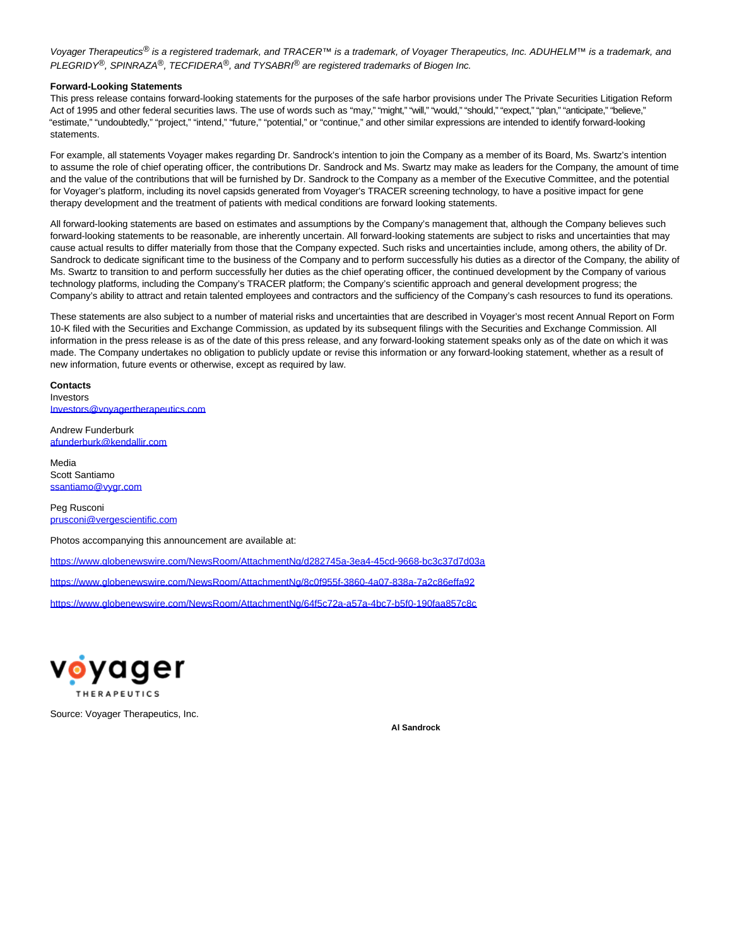Voyager Therapeutics<sup>®</sup> is a registered trademark, and TRACER™ is a trademark, of Voyager Therapeutics, Inc. ADUHELM™ is a trademark, anc PLEGRIDY<sup>®</sup>, SPINRAZA<sup>®</sup>, TECFIDERA<sup>®</sup>, and TYSABRI<sup>®</sup> are registered trademarks of Biogen Inc.

## **Forward-Looking Statements**

This press release contains forward-looking statements for the purposes of the safe harbor provisions under The Private Securities Litigation Reform Act of 1995 and other federal securities laws. The use of words such as "may," "might," "will," "would," "should," "expect," "plan," "anticipate," "believe," "estimate," "undoubtedly," "project," "intend," "future," "potential," or "continue," and other similar expressions are intended to identify forward-looking statements.

For example, all statements Voyager makes regarding Dr. Sandrock's intention to join the Company as a member of its Board, Ms. Swartz's intention to assume the role of chief operating officer, the contributions Dr. Sandrock and Ms. Swartz may make as leaders for the Company, the amount of time and the value of the contributions that will be furnished by Dr. Sandrock to the Company as a member of the Executive Committee, and the potential for Voyager's platform, including its novel capsids generated from Voyager's TRACER screening technology, to have a positive impact for gene therapy development and the treatment of patients with medical conditions are forward looking statements.

All forward-looking statements are based on estimates and assumptions by the Company's management that, although the Company believes such forward-looking statements to be reasonable, are inherently uncertain. All forward-looking statements are subject to risks and uncertainties that may cause actual results to differ materially from those that the Company expected. Such risks and uncertainties include, among others, the ability of Dr. Sandrock to dedicate significant time to the business of the Company and to perform successfully his duties as a director of the Company, the ability of Ms. Swartz to transition to and perform successfully her duties as the chief operating officer, the continued development by the Company of various technology platforms, including the Company's TRACER platform; the Company's scientific approach and general development progress; the Company's ability to attract and retain talented employees and contractors and the sufficiency of the Company's cash resources to fund its operations.

These statements are also subject to a number of material risks and uncertainties that are described in Voyager's most recent Annual Report on Form 10-K filed with the Securities and Exchange Commission, as updated by its subsequent filings with the Securities and Exchange Commission. All information in the press release is as of the date of this press release, and any forward-looking statement speaks only as of the date on which it was made. The Company undertakes no obligation to publicly update or revise this information or any forward-looking statement, whether as a result of new information, future events or otherwise, except as required by law.

# **Contacts**

Investors [Investors@voyagertherapeutics.com](https://www.globenewswire.com/Tracker?data=mr5rQhnUUguaRDy2HmZfgKmvyY-TtrrMAAEHVFDVvlp8bFVoftJRxTEOcZo34wpWYR0hFlRGaFFWkjTx_n1xjf-ONqb1tSFAUHTKVbEaAmpM45Xi5txLX4zFR-u5hsYT)

Andrew Funderburk [afunderburk@kendallir.com](https://www.globenewswire.com/Tracker?data=UE9mLHyt2AdAEKc44JYNRQtljcGYhBfodu0zcd-wU5cwWB7FsMYrHn9dsvkYSz80e-ZzDNt22fbUTRXzmgvUot9-NB86hRQjxFJhw_NbvEM=)

Media Scott Santiamo [ssantiamo@vygr.com](https://www.globenewswire.com/Tracker?data=4ztZrs3XPMWpddq2SgYdQov7FhLRsfBIDG3aC9dgKsNYBfVLeKfCzXGUQea_sTGdbt0e5_TPPIiPJJYMS1TtHuuHmfErhndDGkJmQco1wSM=)

Peg Rusconi [prusconi@vergescientific.com](https://www.globenewswire.com/Tracker?data=kS_bEEi2Fyjufu0CjezSgq0ij3haYrZb_Z_-Gx2umP6_laa3jhnJxDPI4WtQTv-m4ix1Wv6HVvjzWk-KmIZvapIk_52D8Q4TPm4xcgt8zOijJh7hnDWoRJyL4kyn5RWx)

Photos accompanying this announcement are available at:

[https://www.globenewswire.com/NewsRoom/AttachmentNg/d282745a-3ea4-45cd-9668-bc3c37d7d03a](https://www.globenewswire.com/Tracker?data=WCNJgSKKh3wew9J-8KMzeymzdYnKHjNVICXFnHf94LrFOftmk6hTU0KnQYshn-FQu_e7sQIef9HJg-u2SWDDWrpIi2seIry7FdxCMmergI-B9rmnbnMjh3xCKyqRZIdmqb6IuyOsjFvWhMuZTp4_nOH1lvyVQdC07OMAqw8Lr4P6q-n7NV5_GFiuc4IL9fKh81waoz-HwNozedMydtnalVypq9WFoXpglkzsg9EIKplSfqT0hCaqHHeIXmyucwbSBTziIlh8_dUg6x64fuRkXg==)

[https://www.globenewswire.com/NewsRoom/AttachmentNg/8c0f955f-3860-4a07-838a-7a2c86effa92](https://www.globenewswire.com/Tracker?data=WCNJgSKKh3wew9J-8KMzeymzdYnKHjNVICXFnHf94LrFOftmk6hTU0KnQYshn-FQt_BRyPDICZ7PIHkepq7IJVYYlmXkXvrP6ZEku0jkY2AB5oNcFX9Y-Eh7kr6K7ZRsSxGl6QpkEHsWGnw8lKj_7xQJFtwV1hYoiwgh1xsUNofcCp6TKOPEgGrNBy1Yhht0FHrbvZELygc_F-z_uRskmiaifaK6Iu4gUkUfYrggQKv849_IXHpujkz7Tjr7T0BbwA4HkbEBE2UP_RPD7cmEbQ==)

[https://www.globenewswire.com/NewsRoom/AttachmentNg/64f5c72a-a57a-4bc7-b5f0-190faa857c8c](https://www.globenewswire.com/Tracker?data=WCNJgSKKh3wew9J-8KMzeymzdYnKHjNVICXFnHf94LrFOftmk6hTU0KnQYshn-FQ1FVb6AQDl7CpYsIzSDOo-V2qysFXBmKPDNZadM3UDnvScYjpQr3bj-kMY1qsiVUUTikm_WksKjopgExQlKN4a6yYy0-37Qm97-x4K9hoLPn77Q7d7TqPO2Sqj98Byc4gAroOAyhyqwgwtE-WRE6mzyJfFt6t3KfADuFVH5wIf5Y7GMfM4kKrn8nphU74nVqo7Zth1EkccL1TpQpdYtymwg==)



Source: Voyager Therapeutics, Inc.

**Al Sandrock**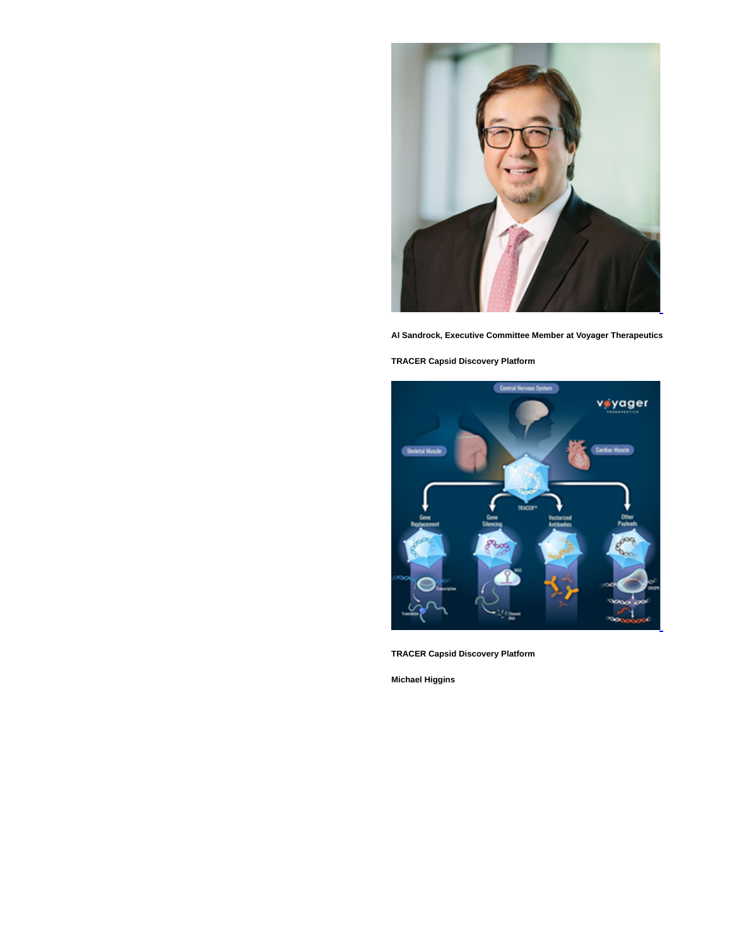

**Al Sandrock, Executive Committee Member at Voyager Therapeutics**

**TRACER Capsid Discovery Platform**



**TRACER Capsid Discovery Platform**

**Michael Higgins**